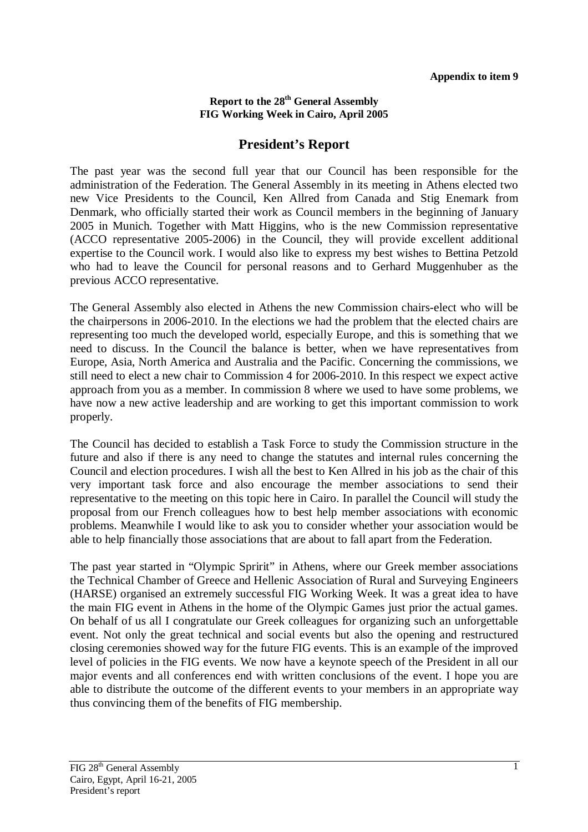## **Report to the 28th General Assembly FIG Working Week in Cairo, April 2005**

## **President's Report**

The past year was the second full year that our Council has been responsible for the administration of the Federation. The General Assembly in its meeting in Athens elected two new Vice Presidents to the Council, Ken Allred from Canada and Stig Enemark from Denmark, who officially started their work as Council members in the beginning of January 2005 in Munich. Together with Matt Higgins, who is the new Commission representative (ACCO representative 2005-2006) in the Council, they will provide excellent additional expertise to the Council work. I would also like to express my best wishes to Bettina Petzold who had to leave the Council for personal reasons and to Gerhard Muggenhuber as the previous ACCO representative.

The General Assembly also elected in Athens the new Commission chairs-elect who will be the chairpersons in 2006-2010. In the elections we had the problem that the elected chairs are representing too much the developed world, especially Europe, and this is something that we need to discuss. In the Council the balance is better, when we have representatives from Europe, Asia, North America and Australia and the Pacific. Concerning the commissions, we still need to elect a new chair to Commission 4 for 2006-2010. In this respect we expect active approach from you as a member. In commission 8 where we used to have some problems, we have now a new active leadership and are working to get this important commission to work properly.

The Council has decided to establish a Task Force to study the Commission structure in the future and also if there is any need to change the statutes and internal rules concerning the Council and election procedures. I wish all the best to Ken Allred in his job as the chair of this very important task force and also encourage the member associations to send their representative to the meeting on this topic here in Cairo. In parallel the Council will study the proposal from our French colleagues how to best help member associations with economic problems. Meanwhile I would like to ask you to consider whether your association would be able to help financially those associations that are about to fall apart from the Federation.

The past year started in "Olympic Spririt" in Athens, where our Greek member associations the Technical Chamber of Greece and Hellenic Association of Rural and Surveying Engineers (HARSE) organised an extremely successful FIG Working Week. It was a great idea to have the main FIG event in Athens in the home of the Olympic Games just prior the actual games. On behalf of us all I congratulate our Greek colleagues for organizing such an unforgettable event. Not only the great technical and social events but also the opening and restructured closing ceremonies showed way for the future FIG events. This is an example of the improved level of policies in the FIG events. We now have a keynote speech of the President in all our major events and all conferences end with written conclusions of the event. I hope you are able to distribute the outcome of the different events to your members in an appropriate way thus convincing them of the benefits of FIG membership.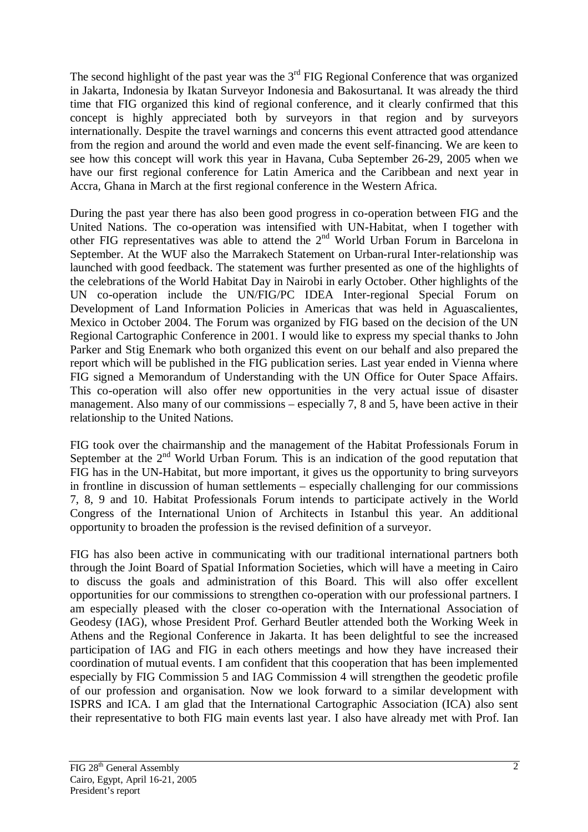The second highlight of the past year was the  $3<sup>rd</sup>$  FIG Regional Conference that was organized in Jakarta, Indonesia by Ikatan Surveyor Indonesia and Bakosurtanal. It was already the third time that FIG organized this kind of regional conference, and it clearly confirmed that this concept is highly appreciated both by surveyors in that region and by surveyors internationally. Despite the travel warnings and concerns this event attracted good attendance from the region and around the world and even made the event self-financing. We are keen to see how this concept will work this year in Havana, Cuba September 26-29, 2005 when we have our first regional conference for Latin America and the Caribbean and next year in Accra, Ghana in March at the first regional conference in the Western Africa.

During the past year there has also been good progress in co-operation between FIG and the United Nations. The co-operation was intensified with UN-Habitat, when I together with other FIG representatives was able to attend the  $2<sup>nd</sup>$  World Urban Forum in Barcelona in September. At the WUF also the Marrakech Statement on Urban-rural Inter-relationship was launched with good feedback. The statement was further presented as one of the highlights of the celebrations of the World Habitat Day in Nairobi in early October. Other highlights of the UN co-operation include the UN/FIG/PC IDEA Inter-regional Special Forum on Development of Land Information Policies in Americas that was held in Aguascalientes, Mexico in October 2004. The Forum was organized by FIG based on the decision of the UN Regional Cartographic Conference in 2001. I would like to express my special thanks to John Parker and Stig Enemark who both organized this event on our behalf and also prepared the report which will be published in the FIG publication series. Last year ended in Vienna where FIG signed a Memorandum of Understanding with the UN Office for Outer Space Affairs. This co-operation will also offer new opportunities in the very actual issue of disaster management. Also many of our commissions – especially 7, 8 and 5, have been active in their relationship to the United Nations.

FIG took over the chairmanship and the management of the Habitat Professionals Forum in September at the  $2<sup>nd</sup>$  World Urban Forum. This is an indication of the good reputation that FIG has in the UN-Habitat, but more important, it gives us the opportunity to bring surveyors in frontline in discussion of human settlements – especially challenging for our commissions 7, 8, 9 and 10. Habitat Professionals Forum intends to participate actively in the World Congress of the International Union of Architects in Istanbul this year. An additional opportunity to broaden the profession is the revised definition of a surveyor.

FIG has also been active in communicating with our traditional international partners both through the Joint Board of Spatial Information Societies, which will have a meeting in Cairo to discuss the goals and administration of this Board. This will also offer excellent opportunities for our commissions to strengthen co-operation with our professional partners. I am especially pleased with the closer co-operation with the International Association of Geodesy (IAG), whose President Prof. Gerhard Beutler attended both the Working Week in Athens and the Regional Conference in Jakarta. It has been delightful to see the increased participation of IAG and FIG in each others meetings and how they have increased their coordination of mutual events. I am confident that this cooperation that has been implemented especially by FIG Commission 5 and IAG Commission 4 will strengthen the geodetic profile of our profession and organisation. Now we look forward to a similar development with ISPRS and ICA. I am glad that the International Cartographic Association (ICA) also sent their representative to both FIG main events last year. I also have already met with Prof. Ian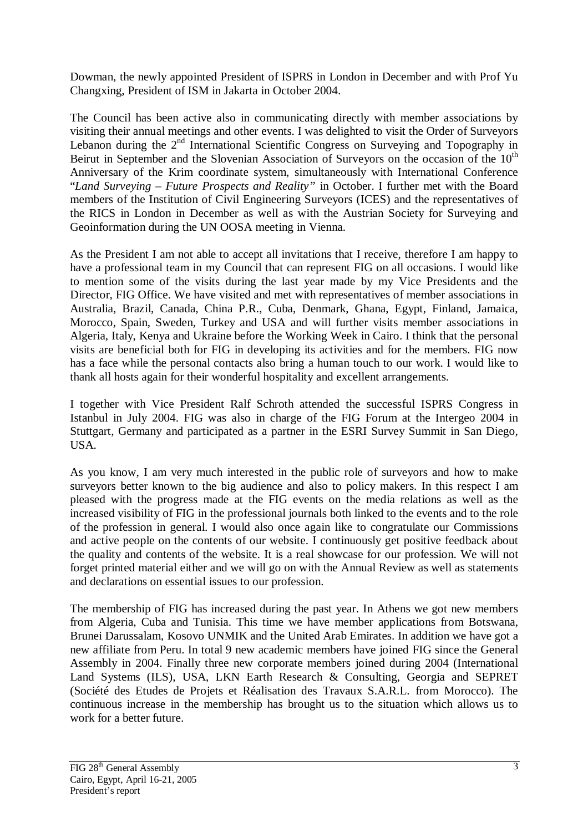Dowman, the newly appointed President of ISPRS in London in December and with Prof Yu Changxing, President of ISM in Jakarta in October 2004.

The Council has been active also in communicating directly with member associations by visiting their annual meetings and other events. I was delighted to visit the Order of Surveyors Lebanon during the 2<sup>nd</sup> International Scientific Congress on Surveying and Topography in Beirut in September and the Slovenian Association of Surveyors on the occasion of the  $10<sup>th</sup>$ Anniversary of the Krim coordinate system, simultaneously with International Conference "*Land Surveying – Future Prospects and Reality"* in October. I further met with the Board members of the Institution of Civil Engineering Surveyors (ICES) and the representatives of the RICS in London in December as well as with the Austrian Society for Surveying and Geoinformation during the UN OOSA meeting in Vienna.

As the President I am not able to accept all invitations that I receive, therefore I am happy to have a professional team in my Council that can represent FIG on all occasions. I would like to mention some of the visits during the last year made by my Vice Presidents and the Director, FIG Office. We have visited and met with representatives of member associations in Australia, Brazil, Canada, China P.R., Cuba, Denmark, Ghana, Egypt, Finland, Jamaica, Morocco, Spain, Sweden, Turkey and USA and will further visits member associations in Algeria, Italy, Kenya and Ukraine before the Working Week in Cairo. I think that the personal visits are beneficial both for FIG in developing its activities and for the members. FIG now has a face while the personal contacts also bring a human touch to our work. I would like to thank all hosts again for their wonderful hospitality and excellent arrangements.

I together with Vice President Ralf Schroth attended the successful ISPRS Congress in Istanbul in July 2004. FIG was also in charge of the FIG Forum at the Intergeo 2004 in Stuttgart, Germany and participated as a partner in the ESRI Survey Summit in San Diego, USA.

As you know, I am very much interested in the public role of surveyors and how to make surveyors better known to the big audience and also to policy makers. In this respect I am pleased with the progress made at the FIG events on the media relations as well as the increased visibility of FIG in the professional journals both linked to the events and to the role of the profession in general. I would also once again like to congratulate our Commissions and active people on the contents of our website. I continuously get positive feedback about the quality and contents of the website. It is a real showcase for our profession. We will not forget printed material either and we will go on with the Annual Review as well as statements and declarations on essential issues to our profession.

The membership of FIG has increased during the past year. In Athens we got new members from Algeria, Cuba and Tunisia. This time we have member applications from Botswana, Brunei Darussalam, Kosovo UNMIK and the United Arab Emirates. In addition we have got a new affiliate from Peru. In total 9 new academic members have joined FIG since the General Assembly in 2004. Finally three new corporate members joined during 2004 (International Land Systems (ILS), USA, LKN Earth Research & Consulting, Georgia and SEPRET (Société des Etudes de Projets et Réalisation des Travaux S.A.R.L. from Morocco). The continuous increase in the membership has brought us to the situation which allows us to work for a better future.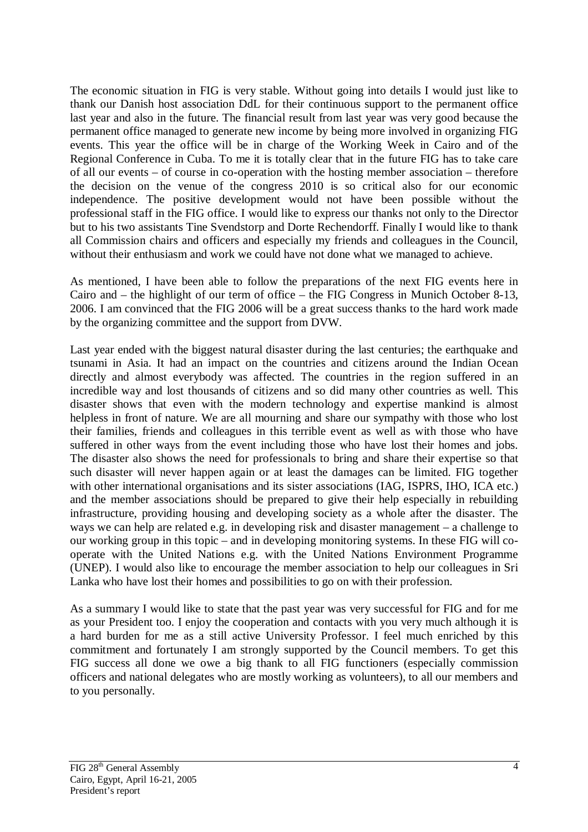The economic situation in FIG is very stable. Without going into details I would just like to thank our Danish host association DdL for their continuous support to the permanent office last year and also in the future. The financial result from last year was very good because the permanent office managed to generate new income by being more involved in organizing FIG events. This year the office will be in charge of the Working Week in Cairo and of the Regional Conference in Cuba. To me it is totally clear that in the future FIG has to take care of all our events – of course in co-operation with the hosting member association – therefore the decision on the venue of the congress 2010 is so critical also for our economic independence. The positive development would not have been possible without the professional staff in the FIG office. I would like to express our thanks not only to the Director but to his two assistants Tine Svendstorp and Dorte Rechendorff. Finally I would like to thank all Commission chairs and officers and especially my friends and colleagues in the Council, without their enthusiasm and work we could have not done what we managed to achieve.

As mentioned, I have been able to follow the preparations of the next FIG events here in Cairo and – the highlight of our term of office – the FIG Congress in Munich October 8-13, 2006. I am convinced that the FIG 2006 will be a great success thanks to the hard work made by the organizing committee and the support from DVW.

Last year ended with the biggest natural disaster during the last centuries; the earthquake and tsunami in Asia. It had an impact on the countries and citizens around the Indian Ocean directly and almost everybody was affected. The countries in the region suffered in an incredible way and lost thousands of citizens and so did many other countries as well. This disaster shows that even with the modern technology and expertise mankind is almost helpless in front of nature. We are all mourning and share our sympathy with those who lost their families, friends and colleagues in this terrible event as well as with those who have suffered in other ways from the event including those who have lost their homes and jobs. The disaster also shows the need for professionals to bring and share their expertise so that such disaster will never happen again or at least the damages can be limited. FIG together with other international organisations and its sister associations (IAG, ISPRS, IHO, ICA etc.) and the member associations should be prepared to give their help especially in rebuilding infrastructure, providing housing and developing society as a whole after the disaster. The ways we can help are related e.g. in developing risk and disaster management – a challenge to our working group in this topic – and in developing monitoring systems. In these FIG will cooperate with the United Nations e.g. with the United Nations Environment Programme (UNEP). I would also like to encourage the member association to help our colleagues in Sri Lanka who have lost their homes and possibilities to go on with their profession.

As a summary I would like to state that the past year was very successful for FIG and for me as your President too. I enjoy the cooperation and contacts with you very much although it is a hard burden for me as a still active University Professor. I feel much enriched by this commitment and fortunately I am strongly supported by the Council members. To get this FIG success all done we owe a big thank to all FIG functioners (especially commission officers and national delegates who are mostly working as volunteers), to all our members and to you personally.